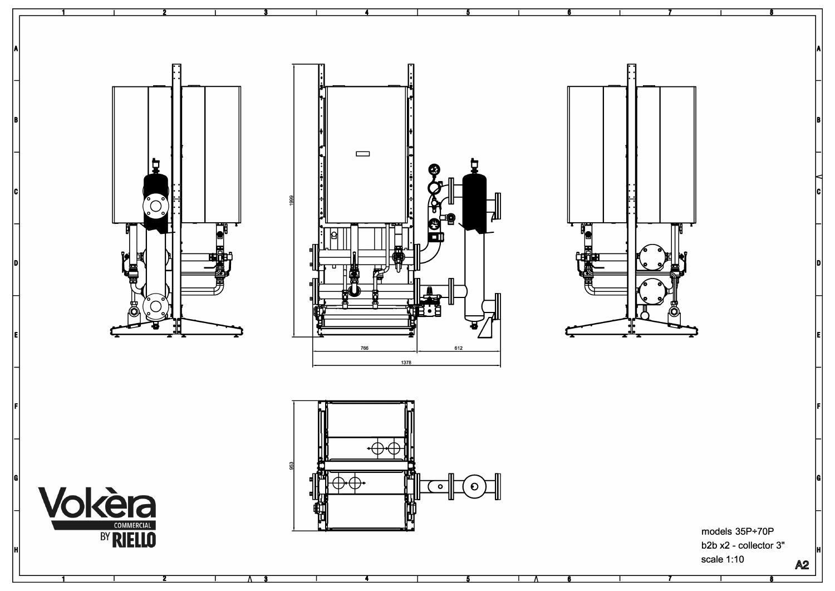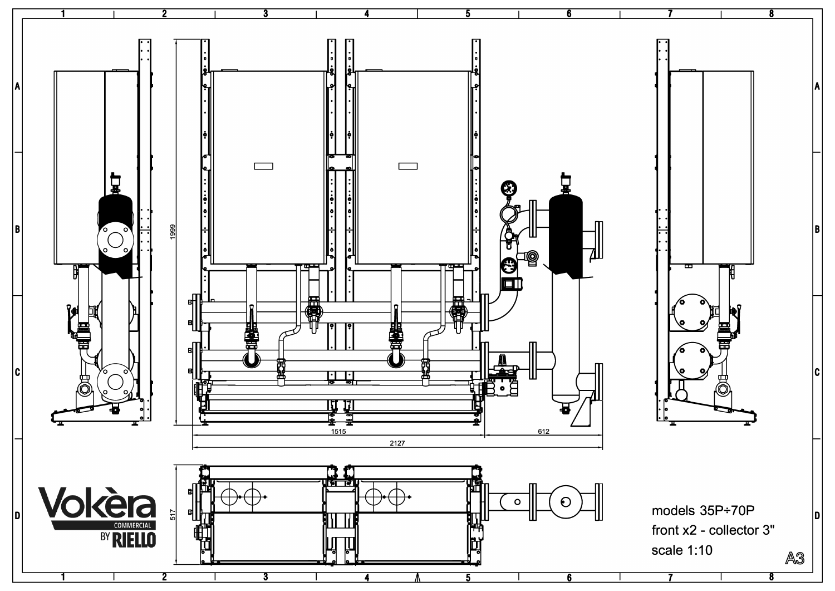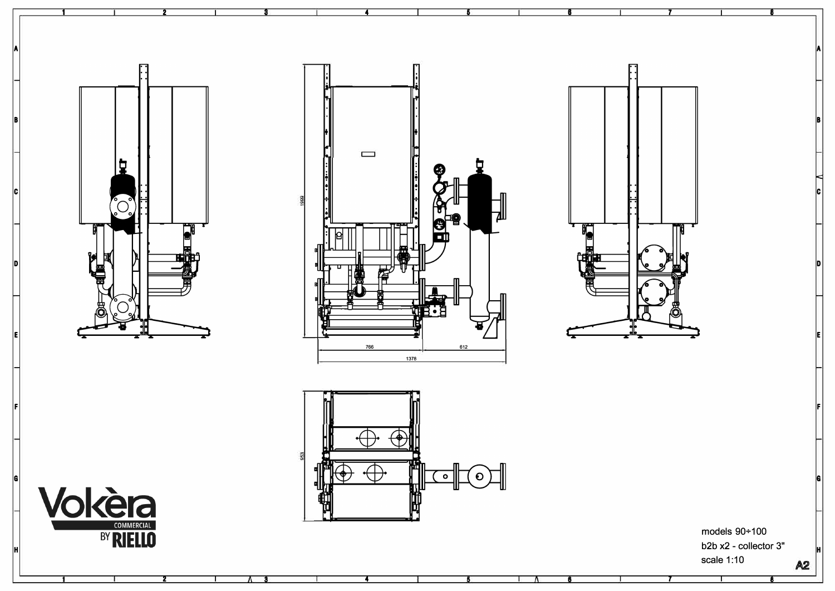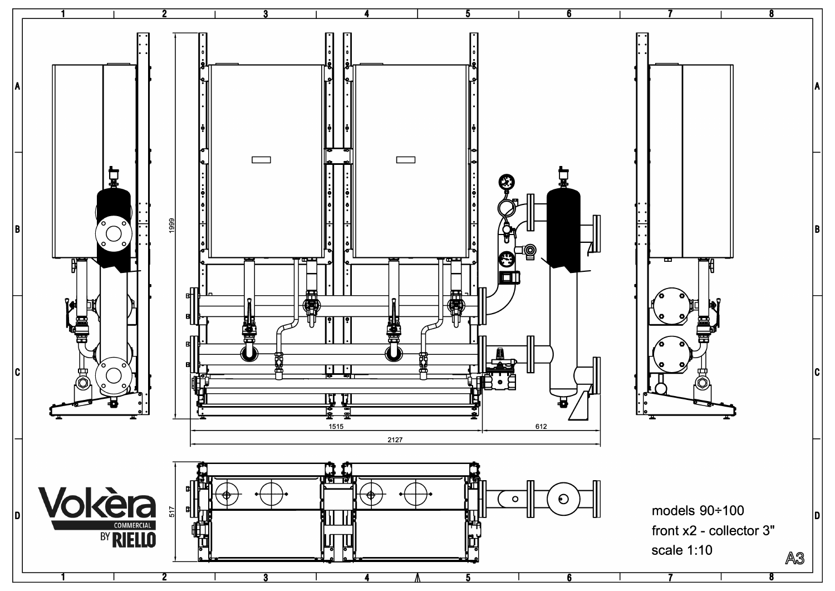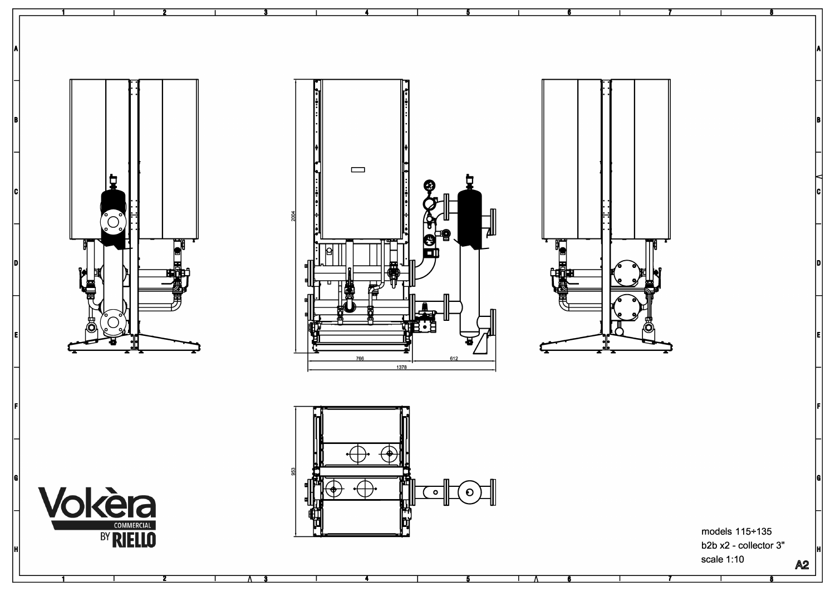